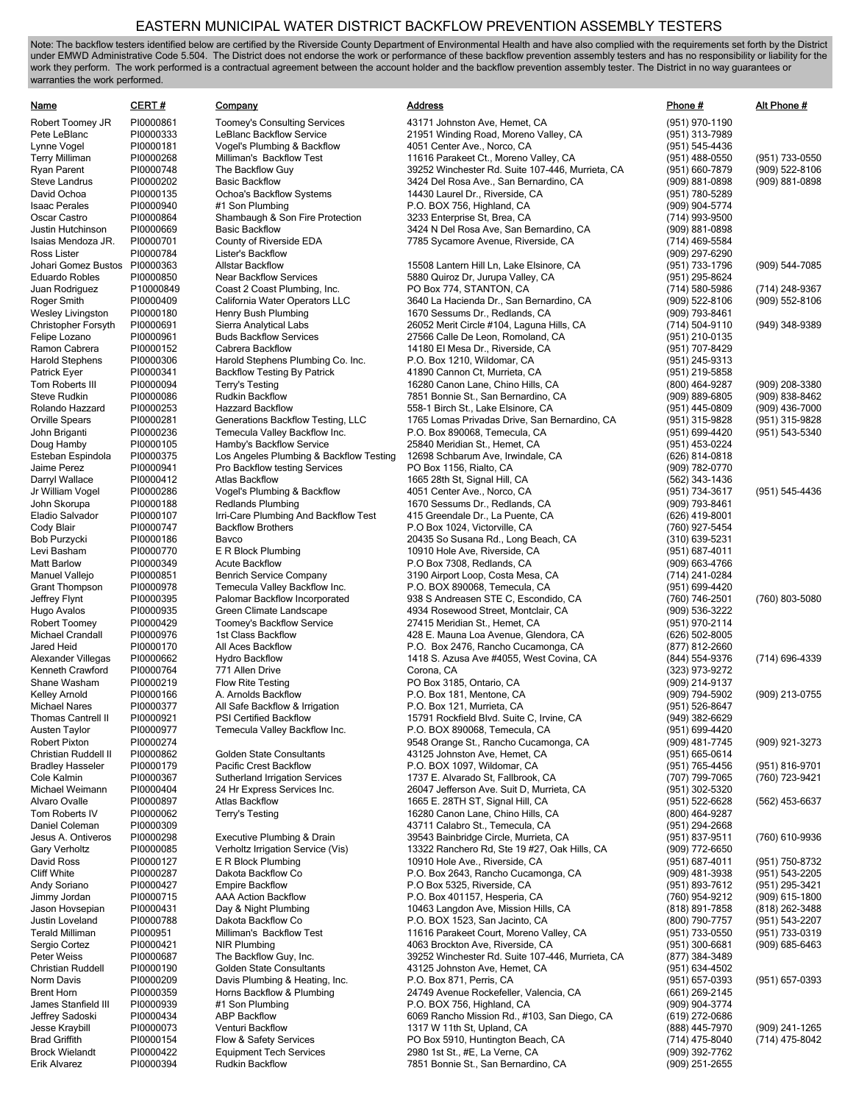## EASTERN MUNICIPAL WATER DISTRICT BACKFLOW PREVENTION ASSEMBLY TESTERS

Note: The backflow testers identified below are certified by the Riverside County Department of Environmental Health and have also complied with the requirements set forth by the District under EMWD Administrative Code 5.504. The District does not endorse the work or performance of these backflow prevention assembly testers and has no responsibility or liability for the work they perform. The work performed is a contractual agreement between the account holder and the backflow prevention assembly tester. The District in no way guarantees or warranties the work performed.

| Name                                         | <b>CERT#</b>           | Company                                                                  | <b>Address</b>                                                                             | Phone#                               | Alt Phone #                      |
|----------------------------------------------|------------------------|--------------------------------------------------------------------------|--------------------------------------------------------------------------------------------|--------------------------------------|----------------------------------|
| Robert Toomey JR                             | PI0000861              | <b>Toomey's Consulting Services</b>                                      | 43171 Johnston Ave, Hemet, CA                                                              | (951) 970-1190                       |                                  |
| Pete LeBlanc                                 | PI0000333              | LeBlanc Backflow Service                                                 | 21951 Winding Road, Moreno Valley, CA                                                      | (951) 313-7989                       |                                  |
| Lynne Vogel                                  | PI0000181              | Vogel's Plumbing & Backflow                                              | 4051 Center Ave., Norco, CA                                                                | (951) 545-4436                       |                                  |
| <b>Terry Milliman</b>                        | PI0000268              | Milliman's Backflow Test                                                 | 11616 Parakeet Ct., Moreno Valley, CA                                                      | (951) 488-0550                       | (951) 733-0550                   |
| Ryan Parent<br>Steve Landrus                 | PI0000748<br>PI0000202 | The Backflow Guy<br><b>Basic Backflow</b>                                | 39252 Winchester Rd. Suite 107-446, Murrieta, CA<br>3424 Del Rosa Ave., San Bernardino, CA | (951) 660-7879<br>(909) 881-0898     | (909) 522-8106<br>(909) 881-0898 |
| David Ochoa                                  | PI0000135              | Ochoa's Backflow Systems                                                 | 14430 Laurel Dr., Riverside, CA                                                            | (951) 780-5289                       |                                  |
| <b>Isaac Perales</b>                         | PI0000940              | #1 Son Plumbing                                                          | P.O. BOX 756, Highland, CA                                                                 | (909) 904-5774                       |                                  |
| Oscar Castro                                 | PI0000864              | Shambaugh & Son Fire Protection                                          | 3233 Enterprise St, Brea, CA                                                               | (714) 993-9500                       |                                  |
| Justin Hutchinson                            | PI0000669              | <b>Basic Backflow</b>                                                    | 3424 N Del Rosa Ave, San Bernardino, CA                                                    | (909) 881-0898                       |                                  |
| Isaias Mendoza JR.                           | PI0000701              | County of Riverside EDA                                                  | 7785 Sycamore Avenue, Riverside, CA                                                        | (714) 469-5584                       |                                  |
| Ross Lister<br>Johari Gomez Bustos PI0000363 | PI0000784              | Lister's Backflow<br><b>Allstar Backflow</b>                             | 15508 Lantern Hill Ln, Lake Elsinore, CA                                                   | (909) 297-6290                       | (909) 544-7085                   |
| <b>Eduardo Robles</b>                        | PI0000850              | <b>Near Backflow Services</b>                                            | 5880 Quiroz Dr, Jurupa Valley, CA                                                          | (951) 733-1796<br>(951) 295-8624     |                                  |
| Juan Rodriguez                               | P10000849              | Coast 2 Coast Plumbing, Inc.                                             | PO Box 774, STANTON, CA                                                                    | (714) 580-5986                       | (714) 248-9367                   |
| Roger Smith                                  | PI0000409              | California Water Operators LLC                                           | 3640 La Hacienda Dr., San Bernardino, CA                                                   | (909) 522-8106                       | (909) 552-8106                   |
| <b>Wesley Livingston</b>                     | PI0000180              | Henry Bush Plumbing                                                      | 1670 Sessums Dr., Redlands, CA                                                             | (909) 793-8461                       |                                  |
| Christopher Forsyth                          | PI0000691              | Sierra Analytical Labs                                                   | 26052 Merit Circle #104, Laguna Hills, CA                                                  | (714) 504-9110                       | (949) 348-9389                   |
| Felipe Lozano                                | PI0000961              | <b>Buds Backflow Services</b>                                            | 27566 Calle De Leon, Romoland, CA                                                          | (951) 210-0135                       |                                  |
| Ramon Cabrera<br><b>Harold Stephens</b>      | PI0000152<br>PI0000306 | Cabrera Backflow<br>Harold Stephens Plumbing Co. Inc.                    | 14180 El Mesa Dr., Riverside, CA<br>P.O. Box 1210, Wildomar, CA                            | (951) 707-8429<br>(951) 245-9313     |                                  |
| Patrick Eyer                                 | PI0000341              | <b>Backflow Testing By Patrick</b>                                       | 41890 Cannon Ct, Murrieta, CA                                                              | (951) 219-5858                       |                                  |
| Tom Roberts III                              | PI0000094              | Terry's Testing                                                          | 16280 Canon Lane, Chino Hills, CA                                                          | (800) 464-9287                       | (909) 208-3380                   |
| <b>Steve Rudkin</b>                          | PI0000086              | <b>Rudkin Backflow</b>                                                   | 7851 Bonnie St., San Bernardino, CA                                                        | (909) 889-6805                       | (909) 838-8462                   |
| Rolando Hazzard                              | PI0000253              | <b>Hazzard Backflow</b>                                                  | 558-1 Birch St., Lake Elsinore, CA                                                         | (951) 445-0809                       | (909) 436-7000                   |
| Orville Spears                               | PI0000281              | Generations Backflow Testing, LLC                                        | 1765 Lomas Privadas Drive, San Bernardino, CA                                              | (951) 315-9828                       | (951) 315-9828                   |
| John Briganti                                | PI0000236              | Temecula Valley Backflow Inc.                                            | P.O. Box 890068, Temecula, CA                                                              | (951) 699-4420                       | (951) 543-5340                   |
| Doug Hamby<br>Esteban Espindola              | PI0000105              | Hamby's Backflow Service                                                 | 25840 Meridian St., Hemet, CA<br>12698 Schbarum Ave, Irwindale, CA                         | (951) 453-0224                       |                                  |
| Jaime Perez                                  | PI0000375<br>PI0000941 | Los Angeles Plumbing & Backflow Testing<br>Pro Backflow testing Services | PO Box 1156, Rialto, CA                                                                    | (626) 814-0818<br>(909) 782-0770     |                                  |
| Darryl Wallace                               | PI0000412              | <b>Atlas Backflow</b>                                                    | 1665 28th St, Signal Hill, CA                                                              | (562) 343-1436                       |                                  |
| Jr William Vogel                             | PI0000286              | Vogel's Plumbing & Backflow                                              | 4051 Center Ave., Norco, CA                                                                | (951) 734-3617                       | (951) 545-4436                   |
| John Skorupa                                 | PI0000188              | <b>Redlands Plumbing</b>                                                 | 1670 Sessums Dr., Redlands, CA                                                             | (909) 793-8461                       |                                  |
| Eladio Salvador                              | PI0000107              | Irri-Care Plumbing And Backflow Test                                     | 415 Greendale Dr., La Puente, CA                                                           | (626) 419-8001                       |                                  |
| Cody Blair                                   | PI0000747              | <b>Backflow Brothers</b>                                                 | P.O Box 1024, Victorville, CA                                                              | (760) 927-5454                       |                                  |
| Bob Purzycki<br>Levi Basham                  | PI0000186<br>PI0000770 | Bavco<br>E R Block Plumbing                                              | 20435 So Susana Rd., Long Beach, CA<br>10910 Hole Ave, Riverside, CA                       | (310) 639-5231<br>$(951) 687 - 4011$ |                                  |
| <b>Matt Barlow</b>                           | PI0000349              | <b>Acute Backflow</b>                                                    | P.O Box 7308, Redlands, CA                                                                 | (909) 663-4766                       |                                  |
| Manuel Vallejo                               | PI0000851              | <b>Benrich Service Company</b>                                           | 3190 Airport Loop, Costa Mesa, CA                                                          | (714) 241-0284                       |                                  |
| <b>Grant Thompson</b>                        | PI0000978              | Temecula Valley Backflow Inc.                                            | P.O. BOX 890068, Temecula, CA                                                              | (951) 699-4420                       |                                  |
| Jeffrey Flynt                                | PI0000395              | Palomar Backflow Incorporated                                            | 938 S Andreasen STE C, Escondido, CA                                                       | (760) 746-2501                       | (760) 803-5080                   |
| Hugo Avalos                                  | PI0000935              | Green Climate Landscape                                                  | 4934 Rosewood Street, Montclair, CA                                                        | (909) 536-3222                       |                                  |
| Robert Toomey<br>Michael Crandall            | PI0000429              | Toomey's Backflow Service<br>1st Class Backflow                          | 27415 Meridian St., Hemet, CA<br>428 E. Mauna Loa Avenue, Glendora, CA                     | (951) 970-2114<br>(626) 502-8005     |                                  |
| Jared Heid                                   | PI0000976<br>PI0000170 | All Aces Backflow                                                        | P.O. Box 2476, Rancho Cucamonga, CA                                                        | (877) 812-2660                       |                                  |
| Alexander Villegas                           | PI0000662              | <b>Hydro Backflow</b>                                                    | 1418 S. Azusa Ave #4055, West Covina, CA                                                   | (844) 554-9376                       | (714) 696-4339                   |
| Kenneth Crawford                             | PI0000764              | 771 Allen Drive                                                          | Corona, CA                                                                                 | (323) 973-9272                       |                                  |
| Shane Washam                                 | PI0000219              | <b>Flow Rite Testing</b>                                                 | PO Box 3185, Ontario, CA                                                                   | (909) 214-9137                       |                                  |
| Kelley Arnold                                | PI0000166              | A. Arnolds Backflow                                                      | P.O. Box 181, Mentone, CA                                                                  | (909) 794-5902                       | (909) 213-0755                   |
| <b>Michael Nares</b><br>Thomas Cantrell II   | PI0000377              | All Safe Backflow & Irrigation<br><b>PSI Certified Backflow</b>          | P.O. Box 121, Murrieta, CA                                                                 | (951) 526-8647                       |                                  |
| Austen Taylor                                | PI0000921<br>PI0000977 | Temecula Valley Backflow Inc.                                            | 15791 Rockfield Blvd. Suite C. Irvine. CA<br>P.O. BOX 890068, Temecula, CA                 | (949) 382-6629<br>(951) 699-4420     |                                  |
| <b>Robert Pixton</b>                         | PI0000274              |                                                                          | 9548 Orange St., Rancho Cucamonga, CA                                                      | (909) 481-7745                       | (909) 921-3273                   |
| Christian Ruddell II                         | PI0000862              | Golden State Consultants                                                 | 43125 Johnston Ave, Hemet, CA                                                              | $(951) 665 - 0614$                   |                                  |
| <b>Bradley Hasseler</b>                      | PI0000179              | Pacific Crest Backflow                                                   | P.O. BOX 1097, Wildomar, CA                                                                | (951) 765-4456                       | (951) 816-9701                   |
| Cole Kalmin                                  | PI0000367              | Sutherland Irrigation Services                                           | 1737 E. Alvarado St, Fallbrook, CA                                                         | (707) 799-7065                       | (760) 723-9421                   |
| Michael Weimann                              | PI0000404              | 24 Hr Express Services Inc.                                              | 26047 Jefferson Ave. Suit D, Murrieta, CA                                                  | (951) 302-5320                       |                                  |
| Alvaro Ovalle<br>Tom Roberts IV              | PI0000897<br>PI0000062 | <b>Atlas Backflow</b><br>Terry's Testing                                 | 1665 E. 28TH ST, Signal Hill, CA<br>16280 Canon Lane, Chino Hills, CA                      | (951) 522-6628<br>(800) 464-9287     | (562) 453-6637                   |
| Daniel Coleman                               | PI0000309              |                                                                          | 43711 Calabro St., Temecula, CA                                                            | (951) 294-2668                       |                                  |
| Jesus A. Ontiveros                           | PI0000298              | Executive Plumbing & Drain                                               | 39543 Bainbridge Circle, Murrieta, CA                                                      | (951) 837-9511                       | (760) 610-9936                   |
| Gary Verholtz                                | PI0000085              | Verholtz Irrigation Service (Vis)                                        | 13322 Ranchero Rd, Ste 19 #27, Oak Hills, CA                                               | (909) 772-6650                       |                                  |
| David Ross                                   | PI0000127              | E R Block Plumbing                                                       | 10910 Hole Ave., Riverside, CA                                                             | (951) 687-4011                       | (951) 750-8732                   |
| <b>Cliff White</b>                           | PI0000287              | Dakota Backflow Co                                                       | P.O. Box 2643, Rancho Cucamonga, CA                                                        | (909) 481-3938                       | (951) 543-2205                   |
| Andy Soriano                                 | PI0000427<br>PI0000715 | <b>Empire Backflow</b>                                                   | P.O Box 5325, Riverside, CA                                                                | (951) 893-7612<br>(760) 954-9212     | (951) 295-3421                   |
| Jimmy Jordan<br>Jason Hovsepian              | PI0000431              | AAA Action Backflow<br>Day & Night Plumbing                              | P.O. Box 401157, Hesperia, CA<br>10463 Langdon Ave, Mission Hills, CA                      | (818) 891-7858                       | (909) 615-1800<br>(818) 262-3488 |
| Justin Loveland                              | PI0000788              | Dakota Backflow Co                                                       | P.O. BOX 1523, San Jacinto, CA                                                             | (800) 790-7757                       | (951) 543-2207                   |
| <b>Terald Milliman</b>                       | PI000951               | Milliman's Backflow Test                                                 | 11616 Parakeet Court, Moreno Valley, CA                                                    | (951) 733-0550                       | (951) 733-0319                   |
| Sergio Cortez                                | PI0000421              | <b>NIR Plumbing</b>                                                      | 4063 Brockton Ave, Riverside, CA                                                           | $(951)$ 300-6681                     | $(909) 685 - 6463$               |
| Peter Weiss                                  | PI0000687              | The Backflow Guy, Inc.                                                   | 39252 Winchester Rd. Suite 107-446, Murrieta, CA                                           | (877) 384-3489                       |                                  |
| Christian Ruddell                            | PI0000190              | Golden State Consultants                                                 | 43125 Johnston Ave, Hemet, CA                                                              | (951) 634-4502                       |                                  |
| Norm Davis<br><b>Brent Horn</b>              | PI0000209<br>PI0000359 | Davis Plumbing & Heating, Inc.<br>Horns Backflow & Plumbing              | P.O. Box 871, Perris, CA<br>24749 Avenue Rockefeller, Valencia, CA                         | (951) 657-0393<br>(661) 269-2145     | (951) 657-0393                   |
| James Stanfield III                          | PI0000939              | #1 Son Plumbing                                                          | P.O. BOX 756, Highland, CA                                                                 | (909) 904-3774                       |                                  |
| Jeffrey Sadoski                              | PI0000434              | <b>ABP Backflow</b>                                                      | 6069 Rancho Mission Rd., #103, San Diego, CA                                               | (619) 272-0686                       |                                  |
| Jesse Kraybill                               | PI0000073              | Venturi Backflow                                                         | 1317 W 11th St, Upland, CA                                                                 | (888) 445-7970                       | (909) 241-1265                   |
| <b>Brad Griffith</b>                         | PI0000154              | Flow & Safety Services                                                   | PO Box 5910, Huntington Beach, CA                                                          | (714) 475-8040                       | (714) 475-8042                   |
| <b>Brock Wielandt</b>                        | PI0000422              | <b>Equipment Tech Services</b>                                           | 2980 1st St., #E, La Verne, CA                                                             | (909) 392-7762                       |                                  |

Erik Alvarez PI0000394 Rudkin Backflow 7851 Bonnie St., San Bernardino, CA (909) 251-2655